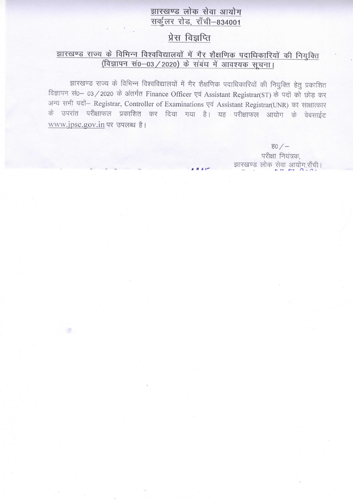## झारखण्ड लोक सेवा आयोग सर्कुलर रोड, राँची-834001

# प्रेस विज्ञप्ति

## झारखण्ड राज्य के विभिन्न विश्वविद्यालयों में गैर शैक्षणिक पदाधिकारियों की नियुक्ति (विज्ञापन सं0-03 / 2020) के संबंध में आवश्यक सूचना।

झारखण्ड राज्य के विभिन्न विश्वविद्यालयों में गैर शैक्षणिक पदाधिकारियों की नियुक्ति हेतु प्रकाशित विज्ञापन सं0- 03 / 2020 के अंतर्गत Finance Officer एवं Assistant Registrar(ST) के पदों को छोड़ कर अन्य सभी पदों- Registrar, Controller of Examinations एवं Assistant Registrar(UNR) का साक्षात्कार के उपरांत परीक्षाफल प्रकाशित कर दिया गया है। यह परीक्षाफल आयोग के वेबसाईट www.jpsc.gov.in पर उपलब्ध है।

> ਵ $0 / -$ परीक्षा नियंत्रक, झारखण्ड लोक सेवा आयोग,राँची।